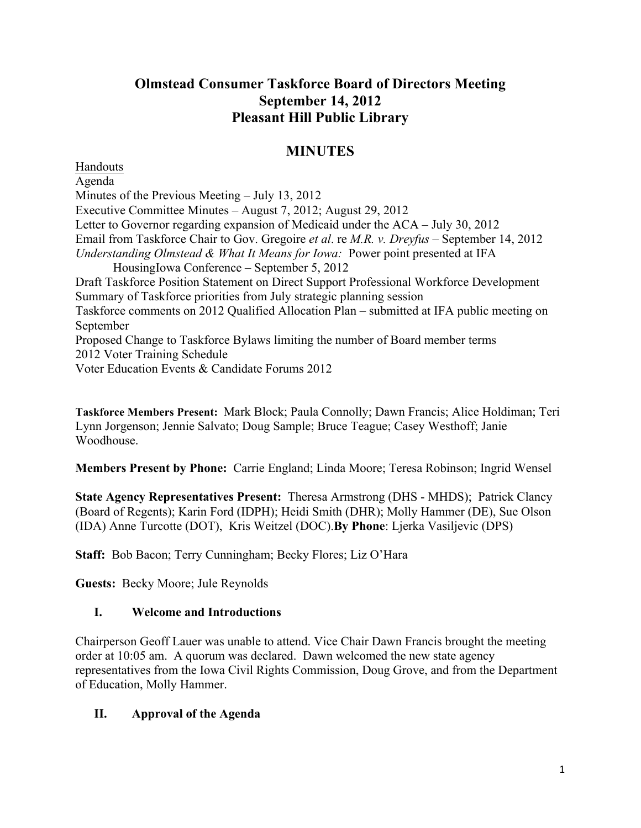# **Olmstead Consumer Taskforce Board of Directors Meeting September 14, 2012 Pleasant Hill Public Library**

# **MINUTES**

Handouts Agenda Minutes of the Previous Meeting – July 13, 2012 Executive Committee Minutes – August 7, 2012; August 29, 2012 Letter to Governor regarding expansion of Medicaid under the ACA – July 30, 2012 Email from Taskforce Chair to Gov. Gregoire *et al*. re *M.R. v. Dreyfus* – September 14, 2012 *Understanding Olmstead & What It Means for Iowa:* Power point presented at IFA HousingIowa Conference – September 5, 2012 Draft Taskforce Position Statement on Direct Support Professional Workforce Development Summary of Taskforce priorities from July strategic planning session Taskforce comments on 2012 Qualified Allocation Plan – submitted at IFA public meeting on September Proposed Change to Taskforce Bylaws limiting the number of Board member terms 2012 Voter Training Schedule Voter Education Events & Candidate Forums 2012

**Taskforce Members Present:** Mark Block; Paula Connolly; Dawn Francis; Alice Holdiman; Teri Lynn Jorgenson; Jennie Salvato; Doug Sample; Bruce Teague; Casey Westhoff; Janie Woodhouse.

**Members Present by Phone:** Carrie England; Linda Moore; Teresa Robinson; Ingrid Wensel

**State Agency Representatives Present:** Theresa Armstrong (DHS - MHDS); Patrick Clancy (Board of Regents); Karin Ford (IDPH); Heidi Smith (DHR); Molly Hammer (DE), Sue Olson (IDA) Anne Turcotte (DOT), Kris Weitzel (DOC).**By Phone**: Ljerka Vasiljevic (DPS)

**Staff:** Bob Bacon; Terry Cunningham; Becky Flores; Liz O'Hara

**Guests:** Becky Moore; Jule Reynolds

# **I. Welcome and Introductions**

Chairperson Geoff Lauer was unable to attend. Vice Chair Dawn Francis brought the meeting order at 10:05 am. A quorum was declared. Dawn welcomed the new state agency representatives from the Iowa Civil Rights Commission, Doug Grove, and from the Department of Education, Molly Hammer.

# **II. Approval of the Agenda**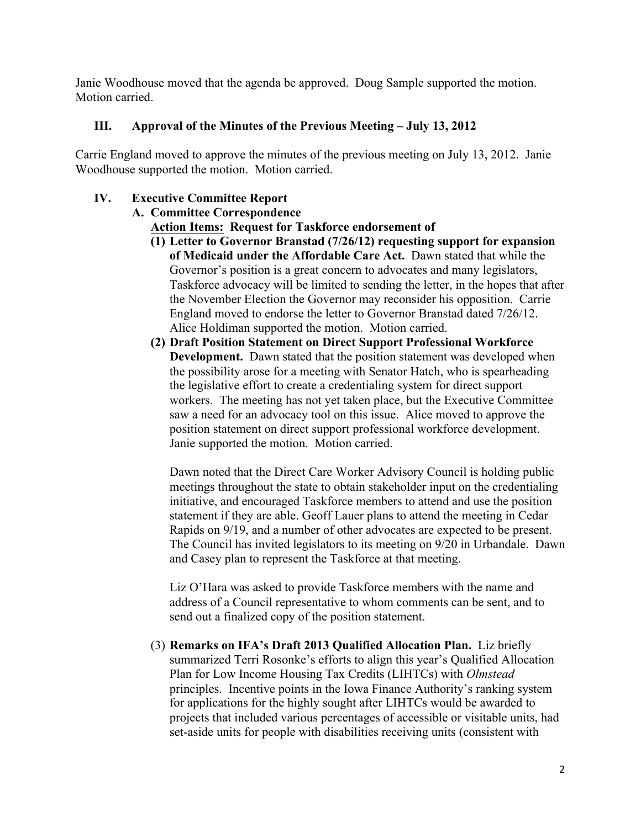Janie Woodhouse moved that the agenda be approved. Doug Sample supported the motion. Motion carried.

### **III. Approval of the Minutes of the Previous Meeting – July 13, 2012**

Carrie England moved to approve the minutes of the previous meeting on July 13, 2012. Janie Woodhouse supported the motion. Motion carried.

## **IV. Executive Committee Report**

# **A. Committee Correspondence**

**Action Items: Request for Taskforce endorsement of**

- **(1) Letter to Governor Branstad (7/26/12) requesting support for expansion of Medicaid under the Affordable Care Act.** Dawn stated that while the Governor's position is a great concern to advocates and many legislators, Taskforce advocacy will be limited to sending the letter, in the hopes that after the November Election the Governor may reconsider his opposition. Carrie England moved to endorse the letter to Governor Branstad dated 7/26/12. Alice Holdiman supported the motion. Motion carried.
- **(2) Draft Position Statement on Direct Support Professional Workforce Development.** Dawn stated that the position statement was developed when the possibility arose for a meeting with Senator Hatch, who is spearheading the legislative effort to create a credentialing system for direct support workers. The meeting has not yet taken place, but the Executive Committee saw a need for an advocacy tool on this issue. Alice moved to approve the position statement on direct support professional workforce development. Janie supported the motion. Motion carried.

Dawn noted that the Direct Care Worker Advisory Council is holding public meetings throughout the state to obtain stakeholder input on the credentialing initiative, and encouraged Taskforce members to attend and use the position statement if they are able. Geoff Lauer plans to attend the meeting in Cedar Rapids on 9/19, and a number of other advocates are expected to be present. The Council has invited legislators to its meeting on 9/20 in Urbandale. Dawn and Casey plan to represent the Taskforce at that meeting.

Liz O'Hara was asked to provide Taskforce members with the name and address of a Council representative to whom comments can be sent, and to send out a finalized copy of the position statement.

(3) **Remarks on IFA's Draft 2013 Qualified Allocation Plan.** Liz briefly summarized Terri Rosonke's efforts to align this year's Qualified Allocation Plan for Low Income Housing Tax Credits (LIHTCs) with *Olmstead* principles. Incentive points in the Iowa Finance Authority's ranking system for applications for the highly sought after LIHTCs would be awarded to projects that included various percentages of accessible or visitable units, had set-aside units for people with disabilities receiving units (consistent with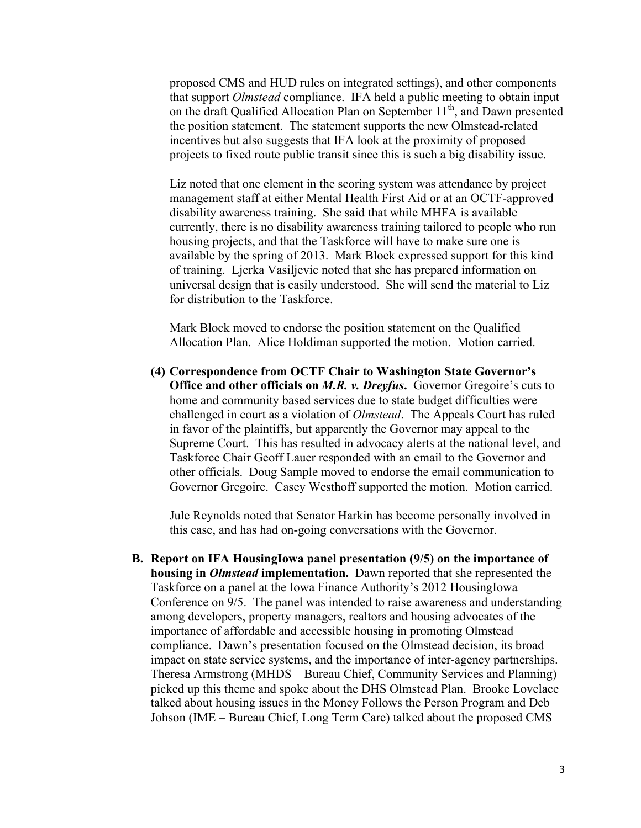proposed CMS and HUD rules on integrated settings), and other components that support *Olmstead* compliance. IFA held a public meeting to obtain input on the draft Qualified Allocation Plan on September  $11<sup>th</sup>$ , and Dawn presented the position statement. The statement supports the new Olmstead-related incentives but also suggests that IFA look at the proximity of proposed projects to fixed route public transit since this is such a big disability issue.

Liz noted that one element in the scoring system was attendance by project management staff at either Mental Health First Aid or at an OCTF-approved disability awareness training. She said that while MHFA is available currently, there is no disability awareness training tailored to people who run housing projects, and that the Taskforce will have to make sure one is available by the spring of 2013. Mark Block expressed support for this kind of training. Ljerka Vasiljevic noted that she has prepared information on universal design that is easily understood. She will send the material to Liz for distribution to the Taskforce.

Mark Block moved to endorse the position statement on the Qualified Allocation Plan. Alice Holdiman supported the motion. Motion carried.

**(4) Correspondence from OCTF Chair to Washington State Governor's Office and other officials on** *M.R. v. Dreyfus***.** Governor Gregoire's cuts to home and community based services due to state budget difficulties were challenged in court as a violation of *Olmstead*. The Appeals Court has ruled in favor of the plaintiffs, but apparently the Governor may appeal to the Supreme Court. This has resulted in advocacy alerts at the national level, and Taskforce Chair Geoff Lauer responded with an email to the Governor and other officials. Doug Sample moved to endorse the email communication to Governor Gregoire. Casey Westhoff supported the motion. Motion carried.

Jule Reynolds noted that Senator Harkin has become personally involved in this case, and has had on-going conversations with the Governor.

**B. Report on IFA HousingIowa panel presentation (9/5) on the importance of housing in** *Olmstead* **implementation.** Dawn reported that she represented the Taskforce on a panel at the Iowa Finance Authority's 2012 HousingIowa Conference on 9/5. The panel was intended to raise awareness and understanding among developers, property managers, realtors and housing advocates of the importance of affordable and accessible housing in promoting Olmstead compliance. Dawn's presentation focused on the Olmstead decision, its broad impact on state service systems, and the importance of inter-agency partnerships. Theresa Armstrong (MHDS – Bureau Chief, Community Services and Planning) picked up this theme and spoke about the DHS Olmstead Plan. Brooke Lovelace talked about housing issues in the Money Follows the Person Program and Deb Johson (IME – Bureau Chief, Long Term Care) talked about the proposed CMS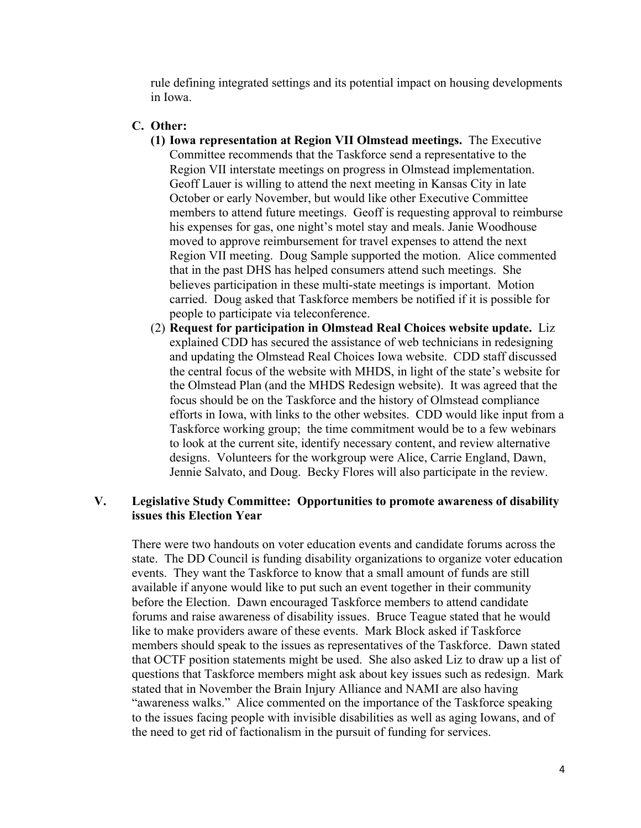rule defining integrated settings and its potential impact on housing developments in Iowa.

#### **C. Other:**

- **(1) Iowa representation at Region VII Olmstead meetings.** The Executive Committee recommends that the Taskforce send a representative to the Region VII interstate meetings on progress in Olmstead implementation. Geoff Lauer is willing to attend the next meeting in Kansas City in late October or early November, but would like other Executive Committee members to attend future meetings. Geoff is requesting approval to reimburse his expenses for gas, one night's motel stay and meals. Janie Woodhouse moved to approve reimbursement for travel expenses to attend the next Region VII meeting. Doug Sample supported the motion. Alice commented that in the past DHS has helped consumers attend such meetings. She believes participation in these multi-state meetings is important. Motion carried. Doug asked that Taskforce members be notified if it is possible for people to participate via teleconference.
- (2) **Request for participation in Olmstead Real Choices website update.** Liz explained CDD has secured the assistance of web technicians in redesigning and updating the Olmstead Real Choices Iowa website. CDD staff discussed the central focus of the website with MHDS, in light of the state's website for the Olmstead Plan (and the MHDS Redesign website). It was agreed that the focus should be on the Taskforce and the history of Olmstead compliance efforts in Iowa, with links to the other websites. CDD would like input from a Taskforce working group; the time commitment would be to a few webinars to look at the current site, identify necessary content, and review alternative designs. Volunteers for the workgroup were Alice, Carrie England, Dawn, Jennie Salvato, and Doug. Becky Flores will also participate in the review.

### **V. Legislative Study Committee: Opportunities to promote awareness of disability issues this Election Year**

There were two handouts on voter education events and candidate forums across the state. The DD Council is funding disability organizations to organize voter education events. They want the Taskforce to know that a small amount of funds are still available if anyone would like to put such an event together in their community before the Election. Dawn encouraged Taskforce members to attend candidate forums and raise awareness of disability issues. Bruce Teague stated that he would like to make providers aware of these events. Mark Block asked if Taskforce members should speak to the issues as representatives of the Taskforce. Dawn stated that OCTF position statements might be used. She also asked Liz to draw up a list of questions that Taskforce members might ask about key issues such as redesign. Mark stated that in November the Brain Injury Alliance and NAMI are also having "awareness walks." Alice commented on the importance of the Taskforce speaking to the issues facing people with invisible disabilities as well as aging Iowans, and of the need to get rid of factionalism in the pursuit of funding for services.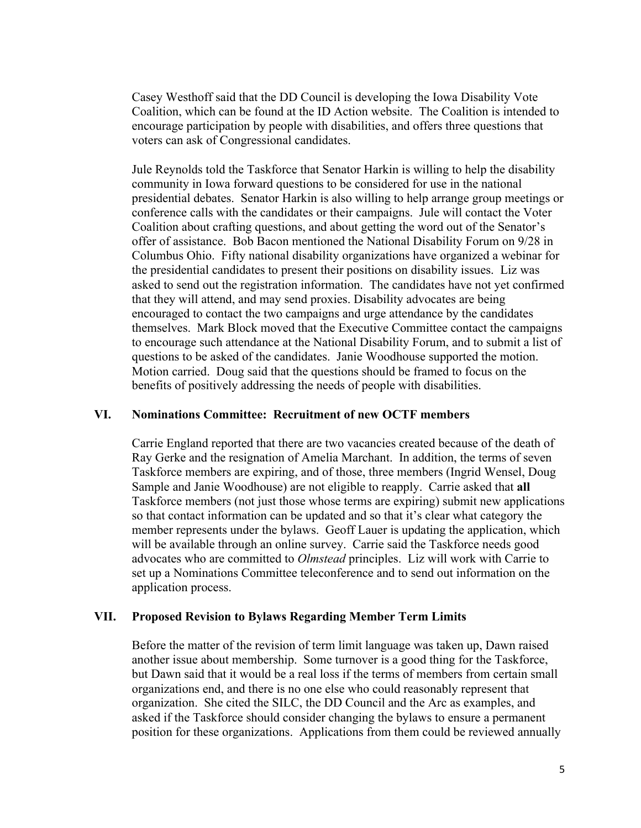Casey Westhoff said that the DD Council is developing the Iowa Disability Vote Coalition, which can be found at the ID Action website. The Coalition is intended to encourage participation by people with disabilities, and offers three questions that voters can ask of Congressional candidates.

Jule Reynolds told the Taskforce that Senator Harkin is willing to help the disability community in Iowa forward questions to be considered for use in the national presidential debates. Senator Harkin is also willing to help arrange group meetings or conference calls with the candidates or their campaigns. Jule will contact the Voter Coalition about crafting questions, and about getting the word out of the Senator's offer of assistance. Bob Bacon mentioned the National Disability Forum on 9/28 in Columbus Ohio. Fifty national disability organizations have organized a webinar for the presidential candidates to present their positions on disability issues. Liz was asked to send out the registration information. The candidates have not yet confirmed that they will attend, and may send proxies. Disability advocates are being encouraged to contact the two campaigns and urge attendance by the candidates themselves. Mark Block moved that the Executive Committee contact the campaigns to encourage such attendance at the National Disability Forum, and to submit a list of questions to be asked of the candidates. Janie Woodhouse supported the motion. Motion carried. Doug said that the questions should be framed to focus on the benefits of positively addressing the needs of people with disabilities.

#### **VI. Nominations Committee: Recruitment of new OCTF members**

Carrie England reported that there are two vacancies created because of the death of Ray Gerke and the resignation of Amelia Marchant. In addition, the terms of seven Taskforce members are expiring, and of those, three members (Ingrid Wensel, Doug Sample and Janie Woodhouse) are not eligible to reapply. Carrie asked that **all** Taskforce members (not just those whose terms are expiring) submit new applications so that contact information can be updated and so that it's clear what category the member represents under the bylaws. Geoff Lauer is updating the application, which will be available through an online survey. Carrie said the Taskforce needs good advocates who are committed to *Olmstead* principles. Liz will work with Carrie to set up a Nominations Committee teleconference and to send out information on the application process.

### **VII. Proposed Revision to Bylaws Regarding Member Term Limits**

Before the matter of the revision of term limit language was taken up, Dawn raised another issue about membership. Some turnover is a good thing for the Taskforce, but Dawn said that it would be a real loss if the terms of members from certain small organizations end, and there is no one else who could reasonably represent that organization. She cited the SILC, the DD Council and the Arc as examples, and asked if the Taskforce should consider changing the bylaws to ensure a permanent position for these organizations. Applications from them could be reviewed annually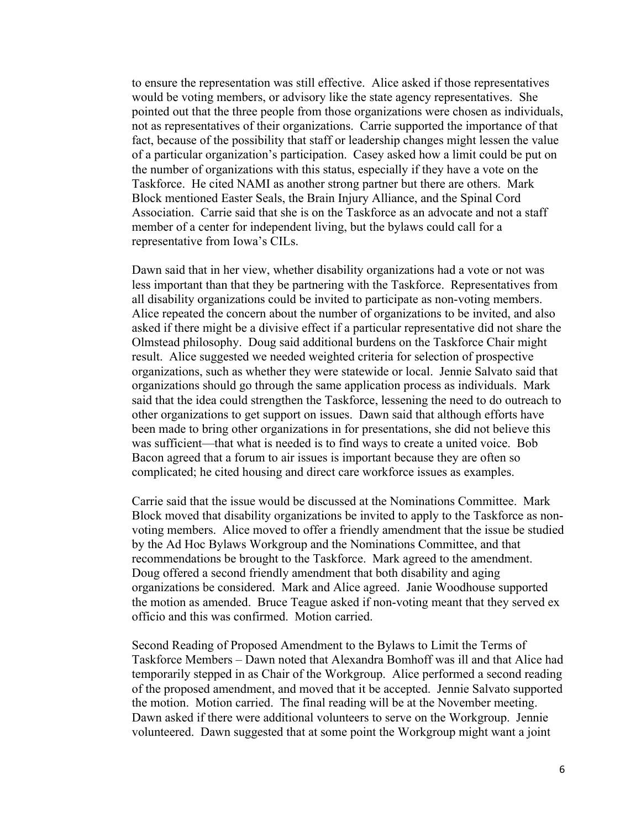to ensure the representation was still effective. Alice asked if those representatives would be voting members, or advisory like the state agency representatives. She pointed out that the three people from those organizations were chosen as individuals, not as representatives of their organizations. Carrie supported the importance of that fact, because of the possibility that staff or leadership changes might lessen the value of a particular organization's participation. Casey asked how a limit could be put on the number of organizations with this status, especially if they have a vote on the Taskforce. He cited NAMI as another strong partner but there are others. Mark Block mentioned Easter Seals, the Brain Injury Alliance, and the Spinal Cord Association. Carrie said that she is on the Taskforce as an advocate and not a staff member of a center for independent living, but the bylaws could call for a representative from Iowa's CILs.

Dawn said that in her view, whether disability organizations had a vote or not was less important than that they be partnering with the Taskforce. Representatives from all disability organizations could be invited to participate as non-voting members. Alice repeated the concern about the number of organizations to be invited, and also asked if there might be a divisive effect if a particular representative did not share the Olmstead philosophy. Doug said additional burdens on the Taskforce Chair might result. Alice suggested we needed weighted criteria for selection of prospective organizations, such as whether they were statewide or local. Jennie Salvato said that organizations should go through the same application process as individuals. Mark said that the idea could strengthen the Taskforce, lessening the need to do outreach to other organizations to get support on issues. Dawn said that although efforts have been made to bring other organizations in for presentations, she did not believe this was sufficient—that what is needed is to find ways to create a united voice. Bob Bacon agreed that a forum to air issues is important because they are often so complicated; he cited housing and direct care workforce issues as examples.

Carrie said that the issue would be discussed at the Nominations Committee. Mark Block moved that disability organizations be invited to apply to the Taskforce as nonvoting members. Alice moved to offer a friendly amendment that the issue be studied by the Ad Hoc Bylaws Workgroup and the Nominations Committee, and that recommendations be brought to the Taskforce. Mark agreed to the amendment. Doug offered a second friendly amendment that both disability and aging organizations be considered. Mark and Alice agreed. Janie Woodhouse supported the motion as amended. Bruce Teague asked if non-voting meant that they served ex officio and this was confirmed. Motion carried.

Second Reading of Proposed Amendment to the Bylaws to Limit the Terms of Taskforce Members – Dawn noted that Alexandra Bomhoff was ill and that Alice had temporarily stepped in as Chair of the Workgroup. Alice performed a second reading of the proposed amendment, and moved that it be accepted. Jennie Salvato supported the motion. Motion carried. The final reading will be at the November meeting. Dawn asked if there were additional volunteers to serve on the Workgroup. Jennie volunteered. Dawn suggested that at some point the Workgroup might want a joint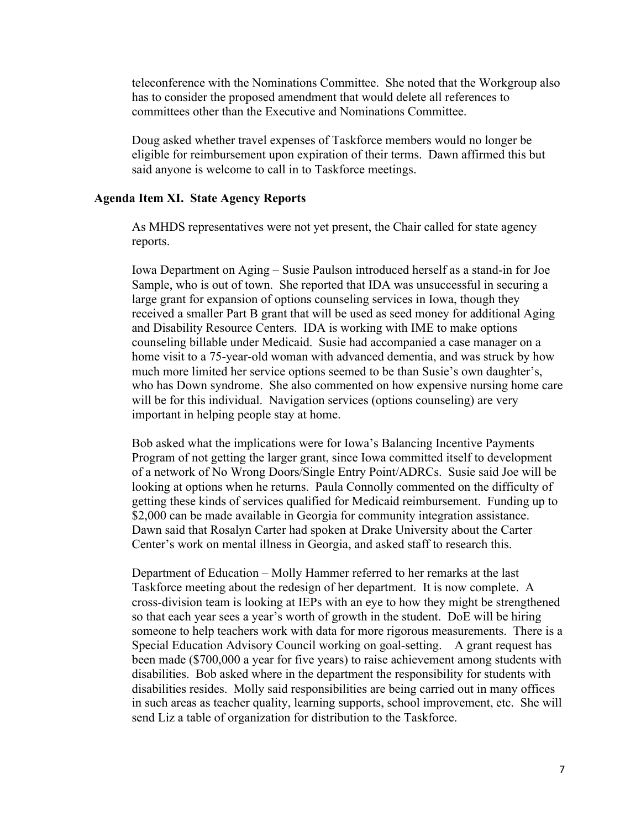teleconference with the Nominations Committee. She noted that the Workgroup also has to consider the proposed amendment that would delete all references to committees other than the Executive and Nominations Committee.

Doug asked whether travel expenses of Taskforce members would no longer be eligible for reimbursement upon expiration of their terms. Dawn affirmed this but said anyone is welcome to call in to Taskforce meetings.

#### **Agenda Item XI. State Agency Reports**

As MHDS representatives were not yet present, the Chair called for state agency reports.

Iowa Department on Aging – Susie Paulson introduced herself as a stand-in for Joe Sample, who is out of town. She reported that IDA was unsuccessful in securing a large grant for expansion of options counseling services in Iowa, though they received a smaller Part B grant that will be used as seed money for additional Aging and Disability Resource Centers. IDA is working with IME to make options counseling billable under Medicaid. Susie had accompanied a case manager on a home visit to a 75-year-old woman with advanced dementia, and was struck by how much more limited her service options seemed to be than Susie's own daughter's, who has Down syndrome. She also commented on how expensive nursing home care will be for this individual. Navigation services (options counseling) are very important in helping people stay at home.

Bob asked what the implications were for Iowa's Balancing Incentive Payments Program of not getting the larger grant, since Iowa committed itself to development of a network of No Wrong Doors/Single Entry Point/ADRCs. Susie said Joe will be looking at options when he returns. Paula Connolly commented on the difficulty of getting these kinds of services qualified for Medicaid reimbursement. Funding up to \$2,000 can be made available in Georgia for community integration assistance. Dawn said that Rosalyn Carter had spoken at Drake University about the Carter Center's work on mental illness in Georgia, and asked staff to research this.

Department of Education – Molly Hammer referred to her remarks at the last Taskforce meeting about the redesign of her department. It is now complete. A cross-division team is looking at IEPs with an eye to how they might be strengthened so that each year sees a year's worth of growth in the student. DoE will be hiring someone to help teachers work with data for more rigorous measurements. There is a Special Education Advisory Council working on goal-setting. A grant request has been made (\$700,000 a year for five years) to raise achievement among students with disabilities. Bob asked where in the department the responsibility for students with disabilities resides. Molly said responsibilities are being carried out in many offices in such areas as teacher quality, learning supports, school improvement, etc. She will send Liz a table of organization for distribution to the Taskforce.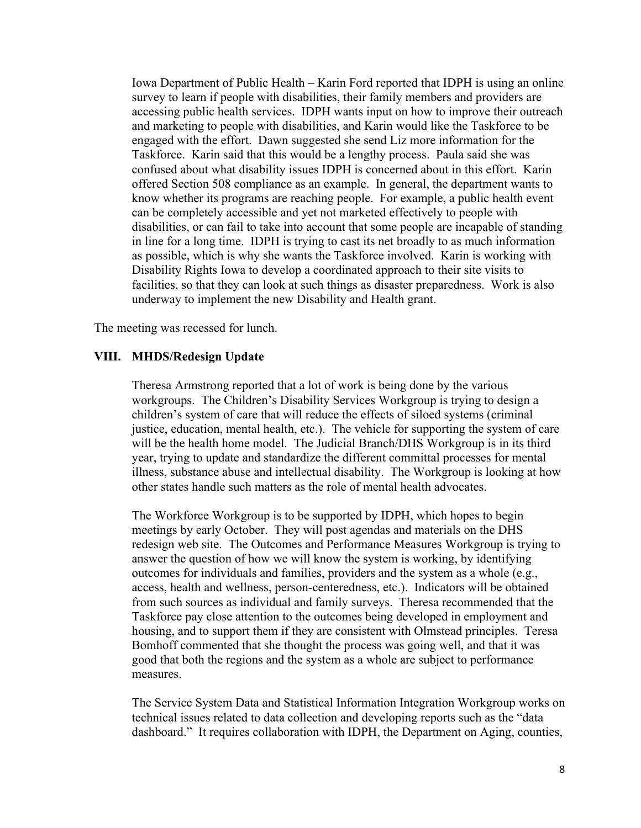Iowa Department of Public Health – Karin Ford reported that IDPH is using an online survey to learn if people with disabilities, their family members and providers are accessing public health services. IDPH wants input on how to improve their outreach and marketing to people with disabilities, and Karin would like the Taskforce to be engaged with the effort. Dawn suggested she send Liz more information for the Taskforce. Karin said that this would be a lengthy process. Paula said she was confused about what disability issues IDPH is concerned about in this effort. Karin offered Section 508 compliance as an example. In general, the department wants to know whether its programs are reaching people. For example, a public health event can be completely accessible and yet not marketed effectively to people with disabilities, or can fail to take into account that some people are incapable of standing in line for a long time. IDPH is trying to cast its net broadly to as much information as possible, which is why she wants the Taskforce involved. Karin is working with Disability Rights Iowa to develop a coordinated approach to their site visits to facilities, so that they can look at such things as disaster preparedness. Work is also underway to implement the new Disability and Health grant.

The meeting was recessed for lunch.

#### **VIII. MHDS/Redesign Update**

Theresa Armstrong reported that a lot of work is being done by the various workgroups. The Children's Disability Services Workgroup is trying to design a children's system of care that will reduce the effects of siloed systems (criminal justice, education, mental health, etc.). The vehicle for supporting the system of care will be the health home model. The Judicial Branch/DHS Workgroup is in its third year, trying to update and standardize the different committal processes for mental illness, substance abuse and intellectual disability. The Workgroup is looking at how other states handle such matters as the role of mental health advocates.

The Workforce Workgroup is to be supported by IDPH, which hopes to begin meetings by early October. They will post agendas and materials on the DHS redesign web site. The Outcomes and Performance Measures Workgroup is trying to answer the question of how we will know the system is working, by identifying outcomes for individuals and families, providers and the system as a whole (e.g., access, health and wellness, person-centeredness, etc.). Indicators will be obtained from such sources as individual and family surveys. Theresa recommended that the Taskforce pay close attention to the outcomes being developed in employment and housing, and to support them if they are consistent with Olmstead principles. Teresa Bomhoff commented that she thought the process was going well, and that it was good that both the regions and the system as a whole are subject to performance measures.

The Service System Data and Statistical Information Integration Workgroup works on technical issues related to data collection and developing reports such as the "data dashboard." It requires collaboration with IDPH, the Department on Aging, counties,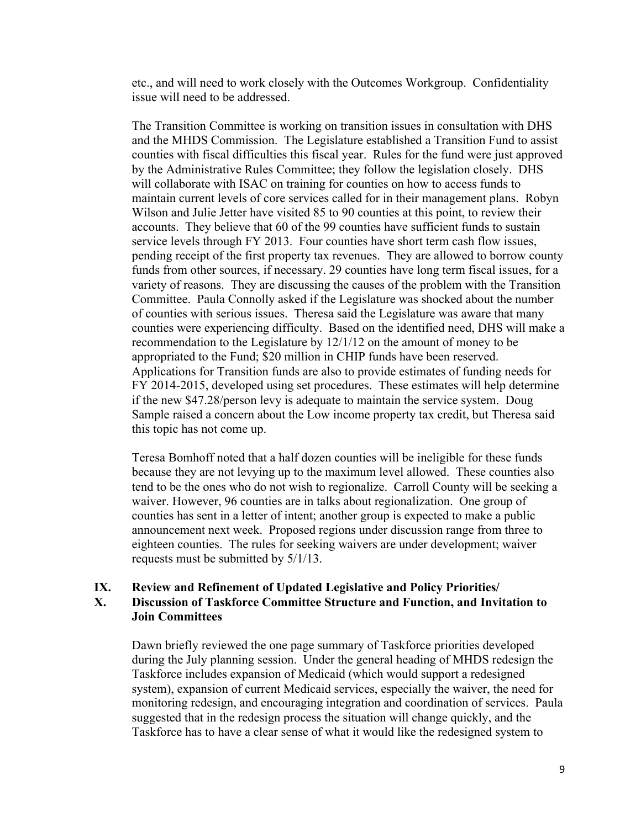etc., and will need to work closely with the Outcomes Workgroup. Confidentiality issue will need to be addressed.

The Transition Committee is working on transition issues in consultation with DHS and the MHDS Commission. The Legislature established a Transition Fund to assist counties with fiscal difficulties this fiscal year. Rules for the fund were just approved by the Administrative Rules Committee; they follow the legislation closely. DHS will collaborate with ISAC on training for counties on how to access funds to maintain current levels of core services called for in their management plans. Robyn Wilson and Julie Jetter have visited 85 to 90 counties at this point, to review their accounts. They believe that 60 of the 99 counties have sufficient funds to sustain service levels through FY 2013. Four counties have short term cash flow issues, pending receipt of the first property tax revenues. They are allowed to borrow county funds from other sources, if necessary. 29 counties have long term fiscal issues, for a variety of reasons. They are discussing the causes of the problem with the Transition Committee. Paula Connolly asked if the Legislature was shocked about the number of counties with serious issues. Theresa said the Legislature was aware that many counties were experiencing difficulty. Based on the identified need, DHS will make a recommendation to the Legislature by 12/1/12 on the amount of money to be appropriated to the Fund; \$20 million in CHIP funds have been reserved. Applications for Transition funds are also to provide estimates of funding needs for FY 2014-2015, developed using set procedures. These estimates will help determine if the new \$47.28/person levy is adequate to maintain the service system. Doug Sample raised a concern about the Low income property tax credit, but Theresa said this topic has not come up.

Teresa Bomhoff noted that a half dozen counties will be ineligible for these funds because they are not levying up to the maximum level allowed. These counties also tend to be the ones who do not wish to regionalize. Carroll County will be seeking a waiver. However, 96 counties are in talks about regionalization. One group of counties has sent in a letter of intent; another group is expected to make a public announcement next week. Proposed regions under discussion range from three to eighteen counties. The rules for seeking waivers are under development; waiver requests must be submitted by 5/1/13.

#### **IX. Review and Refinement of Updated Legislative and Policy Priorities/**

## **X. Discussion of Taskforce Committee Structure and Function, and Invitation to Join Committees**

Dawn briefly reviewed the one page summary of Taskforce priorities developed during the July planning session. Under the general heading of MHDS redesign the Taskforce includes expansion of Medicaid (which would support a redesigned system), expansion of current Medicaid services, especially the waiver, the need for monitoring redesign, and encouraging integration and coordination of services. Paula suggested that in the redesign process the situation will change quickly, and the Taskforce has to have a clear sense of what it would like the redesigned system to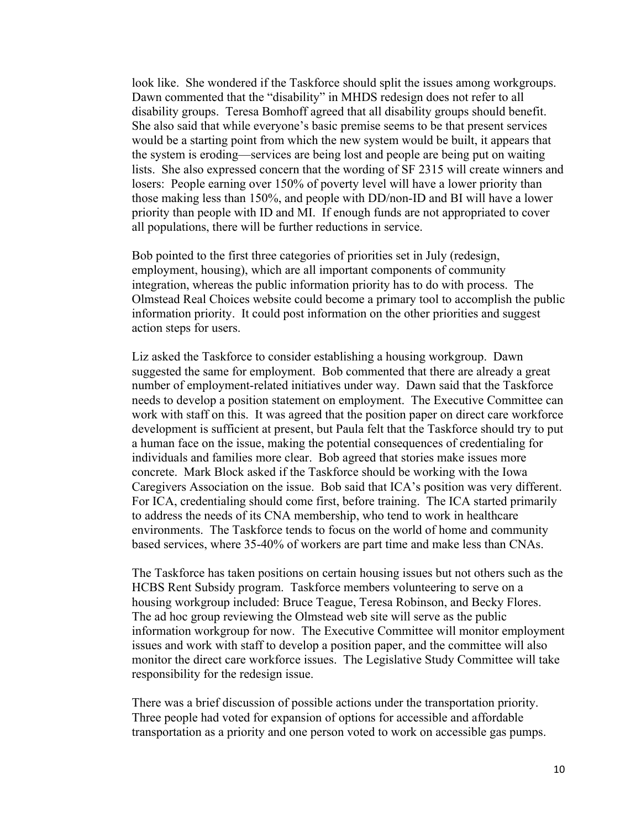look like. She wondered if the Taskforce should split the issues among workgroups. Dawn commented that the "disability" in MHDS redesign does not refer to all disability groups. Teresa Bomhoff agreed that all disability groups should benefit. She also said that while everyone's basic premise seems to be that present services would be a starting point from which the new system would be built, it appears that the system is eroding—services are being lost and people are being put on waiting lists. She also expressed concern that the wording of SF 2315 will create winners and losers: People earning over 150% of poverty level will have a lower priority than those making less than 150%, and people with DD/non-ID and BI will have a lower priority than people with ID and MI. If enough funds are not appropriated to cover all populations, there will be further reductions in service.

Bob pointed to the first three categories of priorities set in July (redesign, employment, housing), which are all important components of community integration, whereas the public information priority has to do with process. The Olmstead Real Choices website could become a primary tool to accomplish the public information priority. It could post information on the other priorities and suggest action steps for users.

Liz asked the Taskforce to consider establishing a housing workgroup. Dawn suggested the same for employment. Bob commented that there are already a great number of employment-related initiatives under way. Dawn said that the Taskforce needs to develop a position statement on employment. The Executive Committee can work with staff on this. It was agreed that the position paper on direct care workforce development is sufficient at present, but Paula felt that the Taskforce should try to put a human face on the issue, making the potential consequences of credentialing for individuals and families more clear. Bob agreed that stories make issues more concrete. Mark Block asked if the Taskforce should be working with the Iowa Caregivers Association on the issue. Bob said that ICA's position was very different. For ICA, credentialing should come first, before training. The ICA started primarily to address the needs of its CNA membership, who tend to work in healthcare environments. The Taskforce tends to focus on the world of home and community based services, where 35-40% of workers are part time and make less than CNAs.

The Taskforce has taken positions on certain housing issues but not others such as the HCBS Rent Subsidy program. Taskforce members volunteering to serve on a housing workgroup included: Bruce Teague, Teresa Robinson, and Becky Flores. The ad hoc group reviewing the Olmstead web site will serve as the public information workgroup for now. The Executive Committee will monitor employment issues and work with staff to develop a position paper, and the committee will also monitor the direct care workforce issues. The Legislative Study Committee will take responsibility for the redesign issue.

There was a brief discussion of possible actions under the transportation priority. Three people had voted for expansion of options for accessible and affordable transportation as a priority and one person voted to work on accessible gas pumps.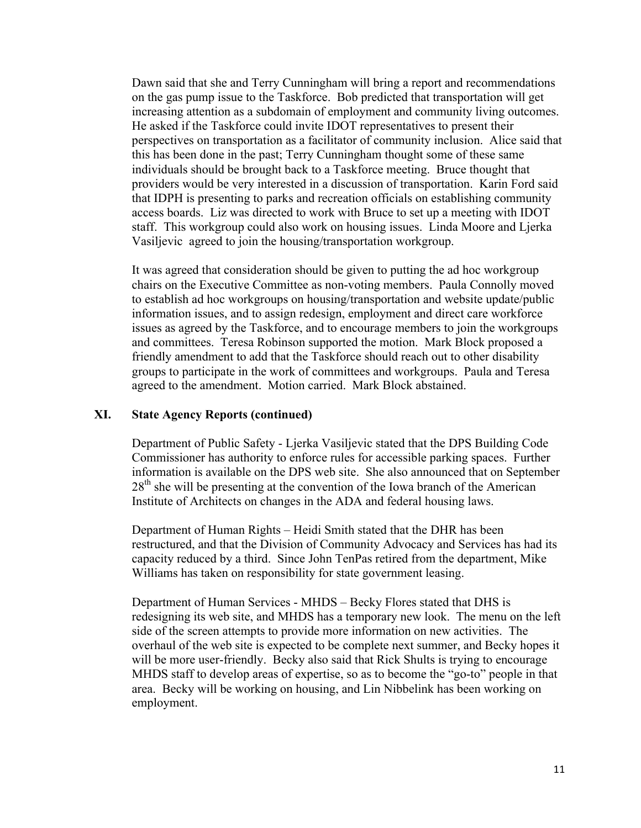Dawn said that she and Terry Cunningham will bring a report and recommendations on the gas pump issue to the Taskforce. Bob predicted that transportation will get increasing attention as a subdomain of employment and community living outcomes. He asked if the Taskforce could invite IDOT representatives to present their perspectives on transportation as a facilitator of community inclusion. Alice said that this has been done in the past; Terry Cunningham thought some of these same individuals should be brought back to a Taskforce meeting. Bruce thought that providers would be very interested in a discussion of transportation. Karin Ford said that IDPH is presenting to parks and recreation officials on establishing community access boards. Liz was directed to work with Bruce to set up a meeting with IDOT staff. This workgroup could also work on housing issues. Linda Moore and Ljerka Vasiljevic agreed to join the housing/transportation workgroup.

It was agreed that consideration should be given to putting the ad hoc workgroup chairs on the Executive Committee as non-voting members. Paula Connolly moved to establish ad hoc workgroups on housing/transportation and website update/public information issues, and to assign redesign, employment and direct care workforce issues as agreed by the Taskforce, and to encourage members to join the workgroups and committees. Teresa Robinson supported the motion. Mark Block proposed a friendly amendment to add that the Taskforce should reach out to other disability groups to participate in the work of committees and workgroups. Paula and Teresa agreed to the amendment. Motion carried. Mark Block abstained.

### **XI. State Agency Reports (continued)**

Department of Public Safety - Ljerka Vasiljevic stated that the DPS Building Code Commissioner has authority to enforce rules for accessible parking spaces. Further information is available on the DPS web site. She also announced that on September  $28<sup>th</sup>$  she will be presenting at the convention of the Iowa branch of the American Institute of Architects on changes in the ADA and federal housing laws.

Department of Human Rights – Heidi Smith stated that the DHR has been restructured, and that the Division of Community Advocacy and Services has had its capacity reduced by a third. Since John TenPas retired from the department, Mike Williams has taken on responsibility for state government leasing.

Department of Human Services - MHDS – Becky Flores stated that DHS is redesigning its web site, and MHDS has a temporary new look. The menu on the left side of the screen attempts to provide more information on new activities. The overhaul of the web site is expected to be complete next summer, and Becky hopes it will be more user-friendly. Becky also said that Rick Shults is trying to encourage MHDS staff to develop areas of expertise, so as to become the "go-to" people in that area. Becky will be working on housing, and Lin Nibbelink has been working on employment.